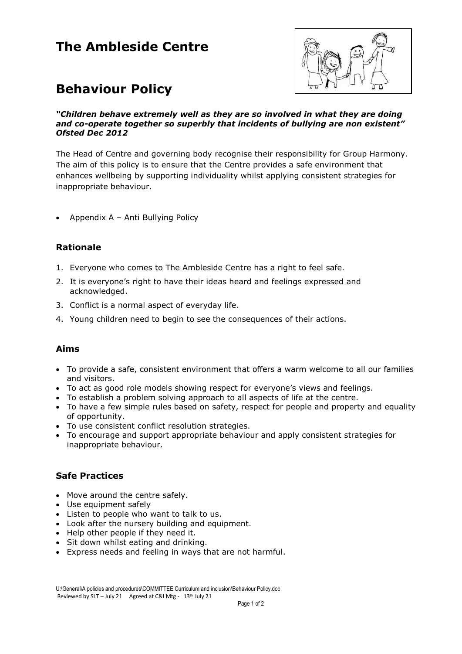## **The Ambleside Centre**



# **Behaviour Policy**

#### *"Children behave extremely well as they are so involved in what they are doing and co-operate together so superbly that incidents of bullying are non existent" Ofsted Dec 2012*

The Head of Centre and governing body recognise their responsibility for Group Harmony. The aim of this policy is to ensure that the Centre provides a safe environment that enhances wellbeing by supporting individuality whilst applying consistent strategies for inappropriate behaviour.

• Appendix  $A - Anti$  Bullying Policy

### **Rationale**

- 1. Everyone who comes to The Ambleside Centre has a right to feel safe.
- 2. It is everyone's right to have their ideas heard and feelings expressed and acknowledged.
- 3. Conflict is a normal aspect of everyday life.
- 4. Young children need to begin to see the consequences of their actions.

### **Aims**

- To provide a safe, consistent environment that offers a warm welcome to all our families and visitors.
- To act as good role models showing respect for everyone's views and feelings.
- To establish a problem solving approach to all aspects of life at the centre.
- To have a few simple rules based on safety, respect for people and property and equality of opportunity.
- To use consistent conflict resolution strategies.
- To encourage and support appropriate behaviour and apply consistent strategies for inappropriate behaviour.

### **Safe Practices**

- Move around the centre safely.
- Use equipment safely
- Listen to people who want to talk to us.
- Look after the nursery building and equipment.
- Help other people if they need it.
- Sit down whilst eating and drinking.
- Express needs and feeling in ways that are not harmful.